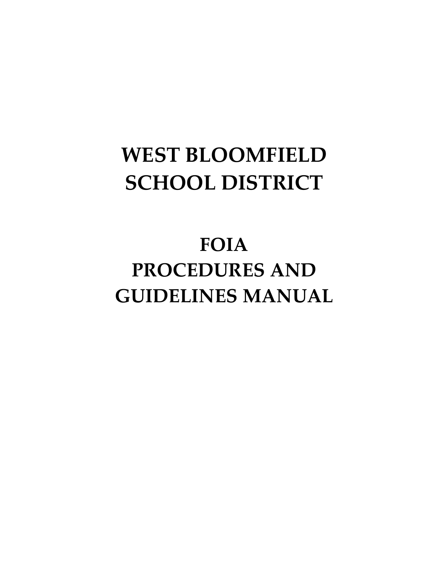# **WEST BLOOMFIELD SCHOOL DISTRICT**

# **FOIA PROCEDURES AND GUIDELINES MANUAL**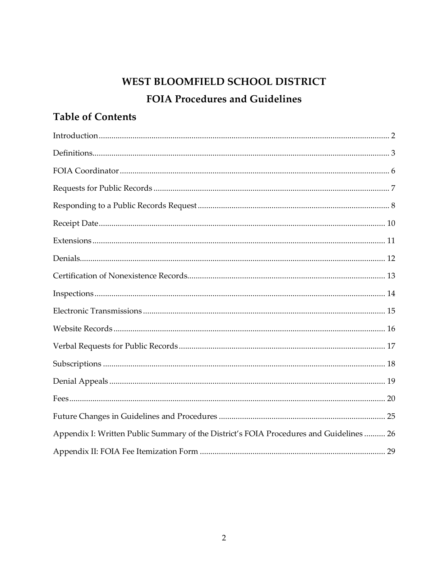## WEST BLOOMFIELD SCHOOL DISTRICT **FOIA Procedures and Guidelines**

### **Table of Contents**

| Appendix I: Written Public Summary of the District's FOIA Procedures and Guidelines  26 |  |
|-----------------------------------------------------------------------------------------|--|
|                                                                                         |  |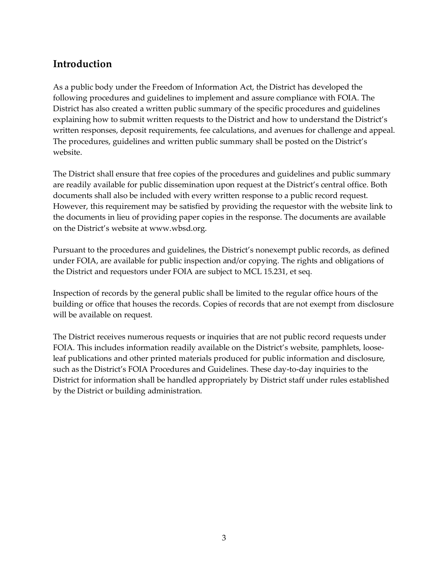#### **Introduction**

As a public body under the Freedom of Information Act, the District has developed the following procedures and guidelines to implement and assure compliance with FOIA. The District has also created a written public summary of the specific procedures and guidelines explaining how to submit written requests to the District and how to understand the District's written responses, deposit requirements, fee calculations, and avenues for challenge and appeal. The procedures, guidelines and written public summary shall be posted on the District's website.

The District shall ensure that free copies of the procedures and guidelines and public summary are readily available for public dissemination upon request at the District's central office. Both documents shall also be included with every written response to a public record request. However, this requirement may be satisfied by providing the requestor with the website link to the documents in lieu of providing paper copies in the response. The documents are available on the District's website at www.wbsd.org.

Pursuant to the procedures and guidelines, the District's nonexempt public records, as defined under FOIA, are available for public inspection and/or copying. The rights and obligations of the District and requestors under FOIA are subject to MCL 15.231, et seq.

Inspection of records by the general public shall be limited to the regular office hours of the building or office that houses the records. Copies of records that are not exempt from disclosure will be available on request.

The District receives numerous requests or inquiries that are not public record requests under FOIA. This includes information readily available on the District's website, pamphlets, looseleaf publications and other printed materials produced for public information and disclosure, such as the District's FOIA Procedures and Guidelines. These day-to-day inquiries to the District for information shall be handled appropriately by District staff under rules established by the District or building administration.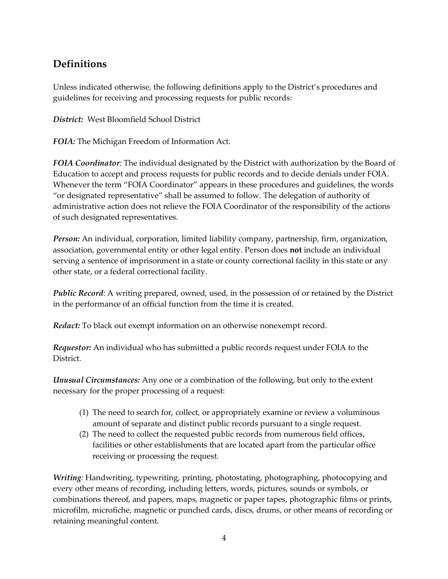#### **Definitions**

Unless indicated otherwise, the following definitions apply to the District's procedures and guidelines for receiving and processing requests for public records:

*District:* West Bloomfield School District

*FOIA:* The Michigan Freedom of Information Act.

*FOIA Coordinator:* The individual designated by the District with authorization by the Board of Education to accept and process requests for public records and to decide denials under FOIA. Whenever the term "FOIA Coordinator" appears in these procedures and guidelines, the words "or designated representative" shall be assumed to follow. The delegation of authority of administrative action does not relieve the FOIA Coordinator of the responsibility of the actions of such designated representatives.

*Person:* An individual, corporation, limited liability company, partnership, firm, organization, association, governmental entity or other legal entity. Person does **not** include an individual serving a sentence of imprisonment in a state or county correctional facility in this state or any other state, or a federal correctional facility.

*Public Record*: A writing prepared, owned, used, in the possession of or retained by the District in the performance of an official function from the time it is created.

*Redact:* To black out exempt information on an otherwise nonexempt record.

*Requestor:* An individual who has submitted a public records request under FOIA to the District.

*Unusual Circumstances:* Any one or a combination of the following, but only to the extent necessary for the proper processing of a request:

- (1) The need to search for, collect, or appropriately examine or review a voluminous amount of separate and distinct public records pursuant to a single request.
- (2) The need to collect the requested public records from numerous field offices, facilities or other establishments that are located apart from the particular office receiving or processing the request.

*Writing:* Handwriting, typewriting, printing, photostating, photographing, photocopying and every other means of recording, including letters, words, pictures, sounds or symbols, or combinations thereof, and papers, maps, magnetic or paper tapes, photographic films or prints, microfilm, microfiche, magnetic or punched cards, discs, drums, or other means of recording or retaining meaningful content.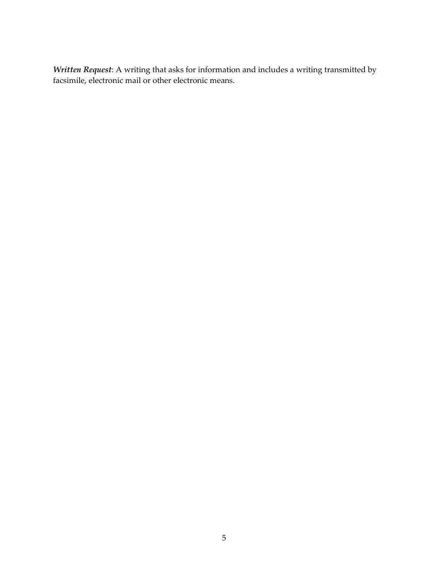*Written Request*: A writing that asks for information and includes a writing transmitted by facsimile, electronic mail or other electronic means.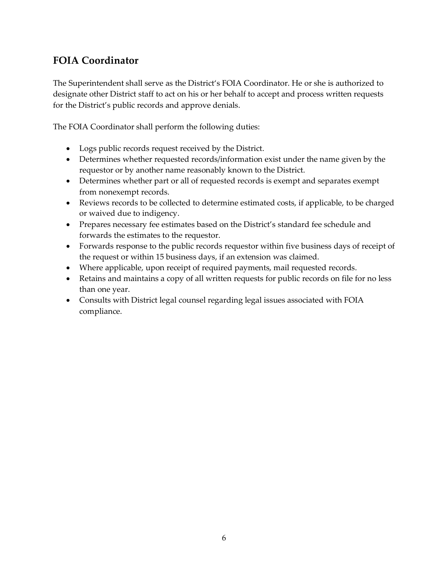#### **FOIA Coordinator**

The Superintendent shall serve as the District's FOIA Coordinator. He or she is authorized to designate other District staff to act on his or her behalf to accept and process written requests for the District's public records and approve denials.

The FOIA Coordinator shall perform the following duties:

- Logs public records request received by the District.
- Determines whether requested records/information exist under the name given by the requestor or by another name reasonably known to the District.
- Determines whether part or all of requested records is exempt and separates exempt from nonexempt records.
- Reviews records to be collected to determine estimated costs, if applicable, to be charged or waived due to indigency.
- Prepares necessary fee estimates based on the District's standard fee schedule and forwards the estimates to the requestor.
- Forwards response to the public records requestor within five business days of receipt of the request or within 15 business days, if an extension was claimed.
- Where applicable, upon receipt of required payments, mail requested records.
- Retains and maintains a copy of all written requests for public records on file for no less than one year.
- Consults with District legal counsel regarding legal issues associated with FOIA compliance.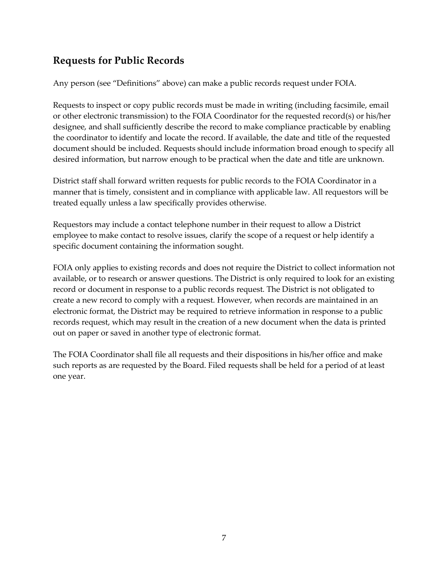#### **Requests for Public Records**

Any person (see "Definitions" above) can make a public records request under FOIA.

Requests to inspect or copy public records must be made in writing (including facsimile, email or other electronic transmission) to the FOIA Coordinator for the requested record(s) or his/her designee, and shall sufficiently describe the record to make compliance practicable by enabling the coordinator to identify and locate the record. If available, the date and title of the requested document should be included. Requests should include information broad enough to specify all desired information, but narrow enough to be practical when the date and title are unknown.

District staff shall forward written requests for public records to the FOIA Coordinator in a manner that is timely, consistent and in compliance with applicable law. All requestors will be treated equally unless a law specifically provides otherwise.

Requestors may include a contact telephone number in their request to allow a District employee to make contact to resolve issues, clarify the scope of a request or help identify a specific document containing the information sought.

FOIA only applies to existing records and does not require the District to collect information not available, or to research or answer questions. The District is only required to look for an existing record or document in response to a public records request. The District is not obligated to create a new record to comply with a request. However, when records are maintained in an electronic format, the District may be required to retrieve information in response to a public records request, which may result in the creation of a new document when the data is printed out on paper or saved in another type of electronic format.

The FOIA Coordinator shall file all requests and their dispositions in his/her office and make such reports as are requested by the Board. Filed requests shall be held for a period of at least one year.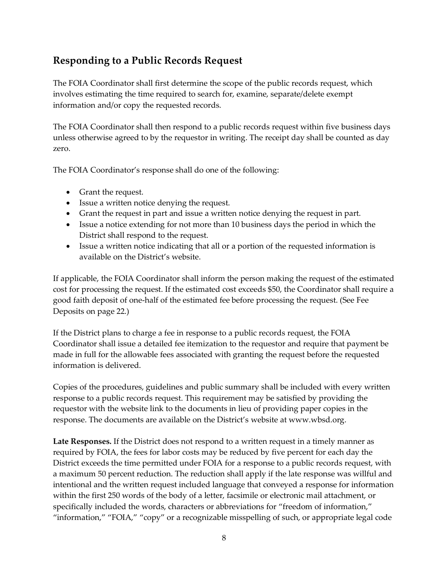#### **Responding to a Public Records Request**

The FOIA Coordinator shall first determine the scope of the public records request, which involves estimating the time required to search for, examine, separate/delete exempt information and/or copy the requested records.

The FOIA Coordinator shall then respond to a public records request within five business days unless otherwise agreed to by the requestor in writing. The receipt day shall be counted as day zero.

The FOIA Coordinator's response shall do one of the following:

- Grant the request.
- Issue a written notice denying the request.
- Grant the request in part and issue a written notice denying the request in part.
- Issue a notice extending for not more than 10 business days the period in which the District shall respond to the request.
- Issue a written notice indicating that all or a portion of the requested information is available on the District's website.

If applicable, the FOIA Coordinator shall inform the person making the request of the estimated cost for processing the request. If the estimated cost exceeds \$50, the Coordinator shall require a good faith deposit of one-half of the estimated fee before processing the request. (See Fee Deposits on page 22.)

If the District plans to charge a fee in response to a public records request, the FOIA Coordinator shall issue a detailed fee itemization to the requestor and require that payment be made in full for the allowable fees associated with granting the request before the requested information is delivered.

Copies of the procedures, guidelines and public summary shall be included with every written response to a public records request. This requirement may be satisfied by providing the requestor with the website link to the documents in lieu of providing paper copies in the response. The documents are available on the District's website at www.wbsd.org.

**Late Responses.** If the District does not respond to a written request in a timely manner as required by FOIA, the fees for labor costs may be reduced by five percent for each day the District exceeds the time permitted under FOIA for a response to a public records request, with a maximum 50 percent reduction. The reduction shall apply if the late response was willful and intentional and the written request included language that conveyed a response for information within the first 250 words of the body of a letter, facsimile or electronic mail attachment, or specifically included the words, characters or abbreviations for "freedom of information," "information," "FOIA," "copy" or a recognizable misspelling of such, or appropriate legal code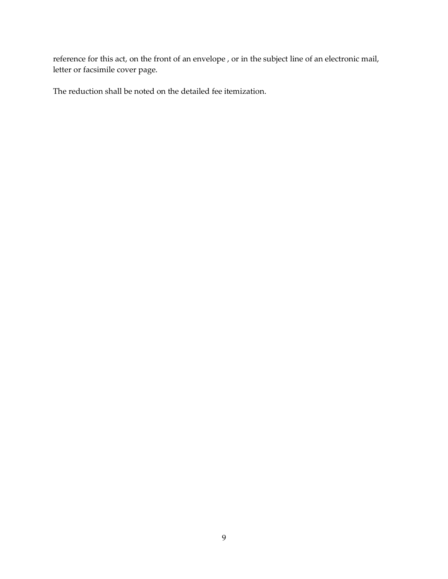reference for this act, on the front of an envelope , or in the subject line of an electronic mail, letter or facsimile cover page.

The reduction shall be noted on the detailed fee itemization.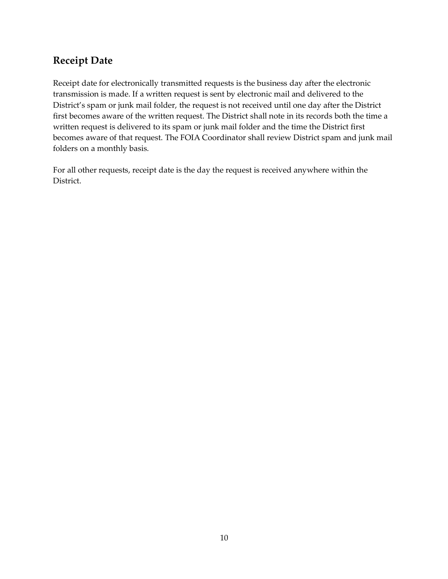#### **Receipt Date**

Receipt date for electronically transmitted requests is the business day after the electronic transmission is made. If a written request is sent by electronic mail and delivered to the District's spam or junk mail folder, the request is not received until one day after the District first becomes aware of the written request. The District shall note in its records both the time a written request is delivered to its spam or junk mail folder and the time the District first becomes aware of that request. The FOIA Coordinator shall review District spam and junk mail folders on a monthly basis.

For all other requests, receipt date is the day the request is received anywhere within the District.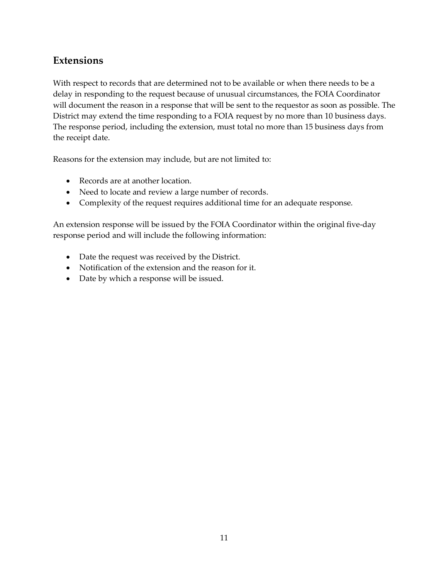#### **Extensions**

With respect to records that are determined not to be available or when there needs to be a delay in responding to the request because of unusual circumstances, the FOIA Coordinator will document the reason in a response that will be sent to the requestor as soon as possible. The District may extend the time responding to a FOIA request by no more than 10 business days. The response period, including the extension, must total no more than 15 business days from the receipt date.

Reasons for the extension may include, but are not limited to:

- Records are at another location.
- Need to locate and review a large number of records.
- Complexity of the request requires additional time for an adequate response.

An extension response will be issued by the FOIA Coordinator within the original five-day response period and will include the following information:

- Date the request was received by the District.
- Notification of the extension and the reason for it.
- Date by which a response will be issued.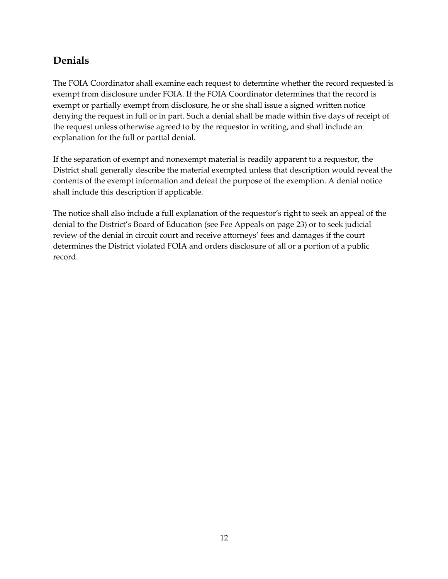#### **Denials**

The FOIA Coordinator shall examine each request to determine whether the record requested is exempt from disclosure under FOIA. If the FOIA Coordinator determines that the record is exempt or partially exempt from disclosure, he or she shall issue a signed written notice denying the request in full or in part. Such a denial shall be made within five days of receipt of the request unless otherwise agreed to by the requestor in writing, and shall include an explanation for the full or partial denial.

If the separation of exempt and nonexempt material is readily apparent to a requestor, the District shall generally describe the material exempted unless that description would reveal the contents of the exempt information and defeat the purpose of the exemption. A denial notice shall include this description if applicable.

The notice shall also include a full explanation of the requestor's right to seek an appeal of the denial to the District's Board of Education (see Fee Appeals on page 23) or to seek judicial review of the denial in circuit court and receive attorneys' fees and damages if the court determines the District violated FOIA and orders disclosure of all or a portion of a public record.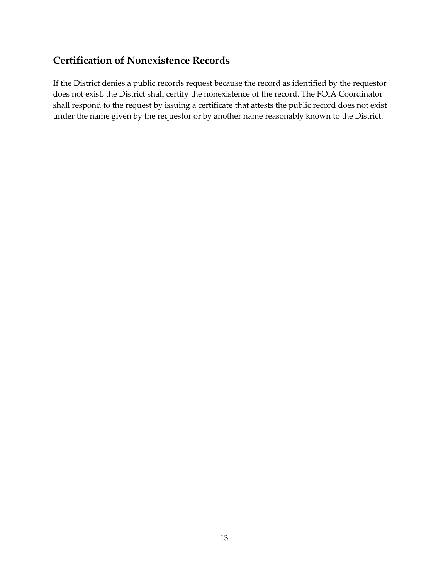#### **Certification of Nonexistence Records**

If the District denies a public records request because the record as identified by the requestor does not exist, the District shall certify the nonexistence of the record. The FOIA Coordinator shall respond to the request by issuing a certificate that attests the public record does not exist under the name given by the requestor or by another name reasonably known to the District.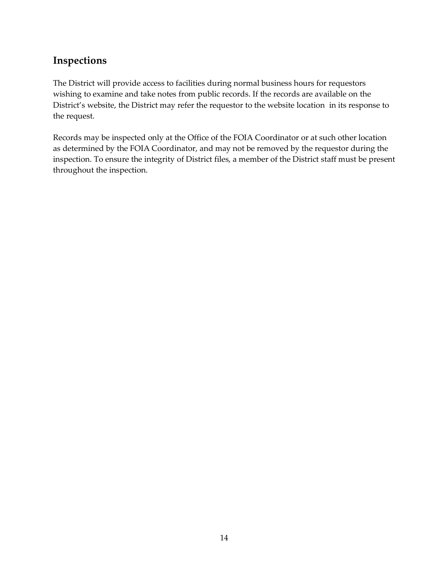#### **Inspections**

The District will provide access to facilities during normal business hours for requestors wishing to examine and take notes from public records. If the records are available on the District's website, the District may refer the requestor to the website location in its response to the request.

Records may be inspected only at the Office of the FOIA Coordinator or at such other location as determined by the FOIA Coordinator, and may not be removed by the requestor during the inspection. To ensure the integrity of District files, a member of the District staff must be present throughout the inspection.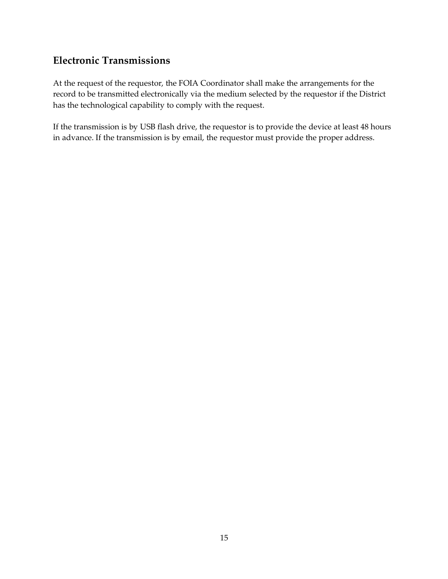#### **Electronic Transmissions**

At the request of the requestor, the FOIA Coordinator shall make the arrangements for the record to be transmitted electronically via the medium selected by the requestor if the District has the technological capability to comply with the request.

If the transmission is by USB flash drive, the requestor is to provide the device at least 48 hours in advance. If the transmission is by email, the requestor must provide the proper address.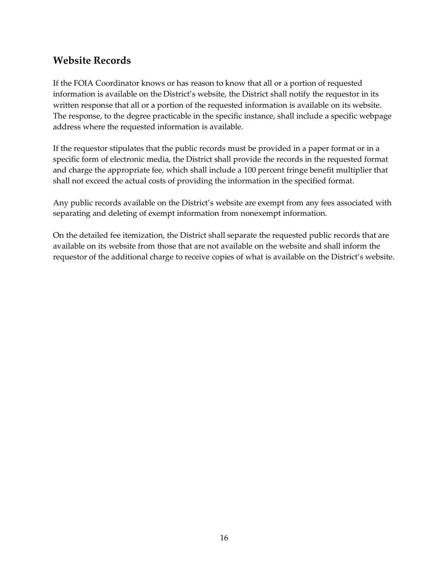#### **Website Records**

If the FOIA Coordinator knows or has reason to know that all or a portion of requested information is available on the District's website, the District shall notify the requestor in its written response that all or a portion of the requested information is available on its website. The response, to the degree practicable in the specific instance, shall include a specific webpage address where the requested information is available.

If the requestor stipulates that the public records must be provided in a paper format or in a specific form of electronic media, the District shall provide the records in the requested format and charge the appropriate fee, which shall include a 100 percent fringe benefit multiplier that shall not exceed the actual costs of providing the information in the specified format.

Any public records available on the District's website are exempt from any fees associated with separating and deleting of exempt information from nonexempt information.

On the detailed fee itemization, the District shall separate the requested public records that are available on its website from those that are not available on the website and shall inform the requestor of the additional charge to receive copies of what is available on the District's website.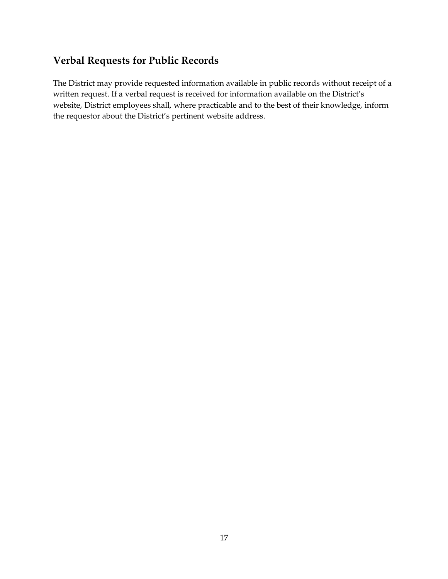#### **Verbal Requests for Public Records**

The District may provide requested information available in public records without receipt of a written request. If a verbal request is received for information available on the District's website, District employees shall, where practicable and to the best of their knowledge, inform the requestor about the District's pertinent website address.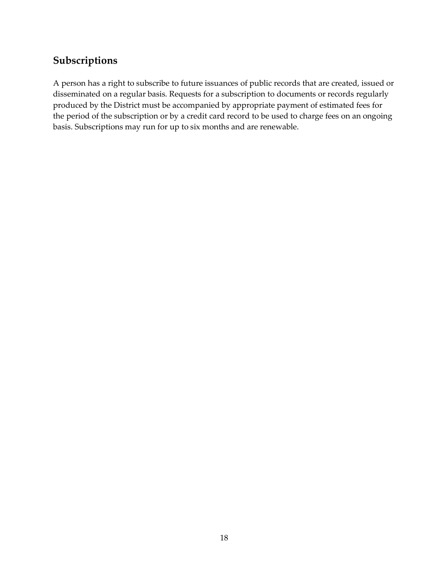#### **Subscriptions**

A person has a right to subscribe to future issuances of public records that are created, issued or disseminated on a regular basis. Requests for a subscription to documents or records regularly produced by the District must be accompanied by appropriate payment of estimated fees for the period of the subscription or by a credit card record to be used to charge fees on an ongoing basis. Subscriptions may run for up to six months and are renewable.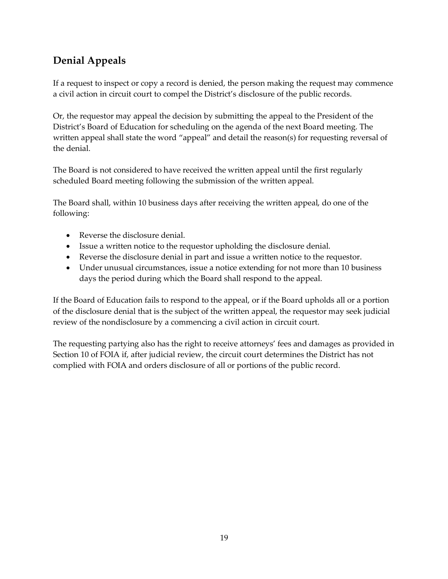## **Denial Appeals**

If a request to inspect or copy a record is denied, the person making the request may commence a civil action in circuit court to compel the District's disclosure of the public records.

Or, the requestor may appeal the decision by submitting the appeal to the President of the District's Board of Education for scheduling on the agenda of the next Board meeting. The written appeal shall state the word "appeal" and detail the reason(s) for requesting reversal of the denial.

The Board is not considered to have received the written appeal until the first regularly scheduled Board meeting following the submission of the written appeal.

The Board shall, within 10 business days after receiving the written appeal, do one of the following:

- Reverse the disclosure denial.
- Issue a written notice to the requestor upholding the disclosure denial.
- Reverse the disclosure denial in part and issue a written notice to the requestor.
- Under unusual circumstances, issue a notice extending for not more than 10 business days the period during which the Board shall respond to the appeal.

If the Board of Education fails to respond to the appeal, or if the Board upholds all or a portion of the disclosure denial that is the subject of the written appeal, the requestor may seek judicial review of the nondisclosure by a commencing a civil action in circuit court.

The requesting partying also has the right to receive attorneys' fees and damages as provided in Section 10 of FOIA if, after judicial review, the circuit court determines the District has not complied with FOIA and orders disclosure of all or portions of the public record.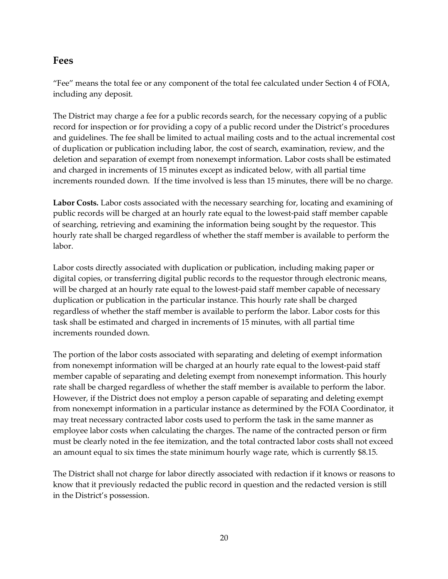#### **Fees**

"Fee" means the total fee or any component of the total fee calculated under Section 4 of FOIA, including any deposit.

The District may charge a fee for a public records search, for the necessary copying of a public record for inspection or for providing a copy of a public record under the District's procedures and guidelines. The fee shall be limited to actual mailing costs and to the actual incremental cost of duplication or publication including labor, the cost of search, examination, review, and the deletion and separation of exempt from nonexempt information. Labor costs shall be estimated and charged in increments of 15 minutes except as indicated below, with all partial time increments rounded down. If the time involved is less than 15 minutes, there will be no charge.

**Labor Costs.** Labor costs associated with the necessary searching for, locating and examining of public records will be charged at an hourly rate equal to the lowest-paid staff member capable of searching, retrieving and examining the information being sought by the requestor. This hourly rate shall be charged regardless of whether the staff member is available to perform the labor.

Labor costs directly associated with duplication or publication, including making paper or digital copies, or transferring digital public records to the requestor through electronic means, will be charged at an hourly rate equal to the lowest-paid staff member capable of necessary duplication or publication in the particular instance. This hourly rate shall be charged regardless of whether the staff member is available to perform the labor. Labor costs for this task shall be estimated and charged in increments of 15 minutes, with all partial time increments rounded down.

The portion of the labor costs associated with separating and deleting of exempt information from nonexempt information will be charged at an hourly rate equal to the lowest-paid staff member capable of separating and deleting exempt from nonexempt information. This hourly rate shall be charged regardless of whether the staff member is available to perform the labor. However, if the District does not employ a person capable of separating and deleting exempt from nonexempt information in a particular instance as determined by the FOIA Coordinator, it may treat necessary contracted labor costs used to perform the task in the same manner as employee labor costs when calculating the charges. The name of the contracted person or firm must be clearly noted in the fee itemization, and the total contracted labor costs shall not exceed an amount equal to six times the state minimum hourly wage rate, which is currently \$8.15.

The District shall not charge for labor directly associated with redaction if it knows or reasons to know that it previously redacted the public record in question and the redacted version is still in the District's possession.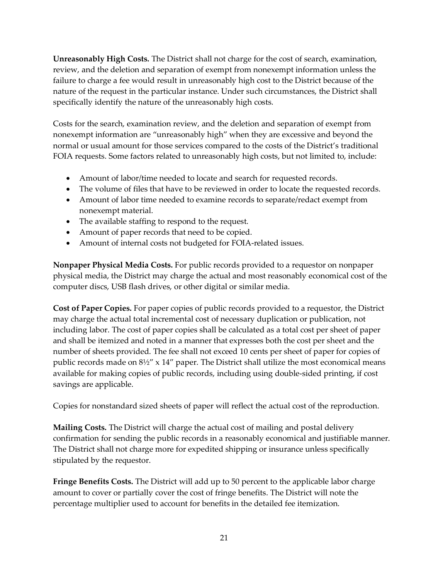**Unreasonably High Costs.** The District shall not charge for the cost of search, examination, review, and the deletion and separation of exempt from nonexempt information unless the failure to charge a fee would result in unreasonably high cost to the District because of the nature of the request in the particular instance. Under such circumstances, the District shall specifically identify the nature of the unreasonably high costs.

Costs for the search, examination review, and the deletion and separation of exempt from nonexempt information are "unreasonably high" when they are excessive and beyond the normal or usual amount for those services compared to the costs of the District's traditional FOIA requests. Some factors related to unreasonably high costs, but not limited to, include:

- Amount of labor/time needed to locate and search for requested records.
- The volume of files that have to be reviewed in order to locate the requested records.
- Amount of labor time needed to examine records to separate/redact exempt from nonexempt material.
- The available staffing to respond to the request.
- Amount of paper records that need to be copied.
- Amount of internal costs not budgeted for FOIA-related issues.

**Nonpaper Physical Media Costs.** For public records provided to a requestor on nonpaper physical media, the District may charge the actual and most reasonably economical cost of the computer discs, USB flash drives, or other digital or similar media.

**Cost of Paper Copies.** For paper copies of public records provided to a requestor, the District may charge the actual total incremental cost of necessary duplication or publication, not including labor. The cost of paper copies shall be calculated as a total cost per sheet of paper and shall be itemized and noted in a manner that expresses both the cost per sheet and the number of sheets provided. The fee shall not exceed 10 cents per sheet of paper for copies of public records made on  $8\frac{1}{2}$ " x 14" paper. The District shall utilize the most economical means available for making copies of public records, including using double-sided printing, if cost savings are applicable.

Copies for nonstandard sized sheets of paper will reflect the actual cost of the reproduction.

**Mailing Costs.** The District will charge the actual cost of mailing and postal delivery confirmation for sending the public records in a reasonably economical and justifiable manner. The District shall not charge more for expedited shipping or insurance unless specifically stipulated by the requestor.

**Fringe Benefits Costs.** The District will add up to 50 percent to the applicable labor charge amount to cover or partially cover the cost of fringe benefits. The District will note the percentage multiplier used to account for benefits in the detailed fee itemization.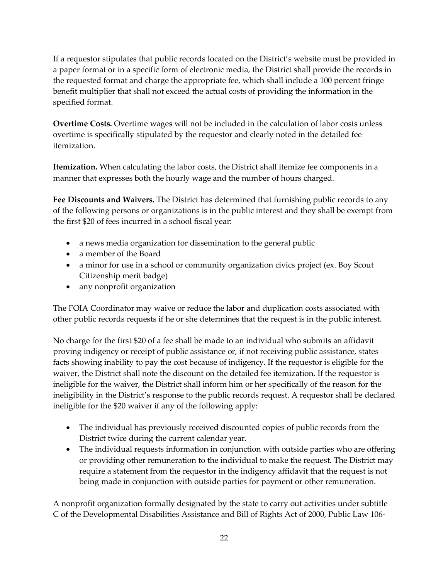If a requestor stipulates that public records located on the District's website must be provided in a paper format or in a specific form of electronic media, the District shall provide the records in the requested format and charge the appropriate fee, which shall include a 100 percent fringe benefit multiplier that shall not exceed the actual costs of providing the information in the specified format.

**Overtime Costs.** Overtime wages will not be included in the calculation of labor costs unless overtime is specifically stipulated by the requestor and clearly noted in the detailed fee itemization.

**Itemization.** When calculating the labor costs, the District shall itemize fee components in a manner that expresses both the hourly wage and the number of hours charged.

**Fee Discounts and Waivers.** The District has determined that furnishing public records to any of the following persons or organizations is in the public interest and they shall be exempt from the first \$20 of fees incurred in a school fiscal year:

- a news media organization for dissemination to the general public
- a member of the Board
- a minor for use in a school or community organization civics project (ex. Boy Scout Citizenship merit badge)
- any nonprofit organization

The FOIA Coordinator may waive or reduce the labor and duplication costs associated with other public records requests if he or she determines that the request is in the public interest.

No charge for the first \$20 of a fee shall be made to an individual who submits an affidavit proving indigency or receipt of public assistance or, if not receiving public assistance, states facts showing inability to pay the cost because of indigency. If the requestor is eligible for the waiver, the District shall note the discount on the detailed fee itemization. If the requestor is ineligible for the waiver, the District shall inform him or her specifically of the reason for the ineligibility in the District's response to the public records request. A requestor shall be declared ineligible for the \$20 waiver if any of the following apply:

- The individual has previously received discounted copies of public records from the District twice during the current calendar year.
- The individual requests information in conjunction with outside parties who are offering or providing other remuneration to the individual to make the request. The District may require a statement from the requestor in the indigency affidavit that the request is not being made in conjunction with outside parties for payment or other remuneration.

A nonprofit organization formally designated by the state to carry out activities under subtitle C of the Developmental Disabilities Assistance and Bill of Rights Act of 2000, Public Law 106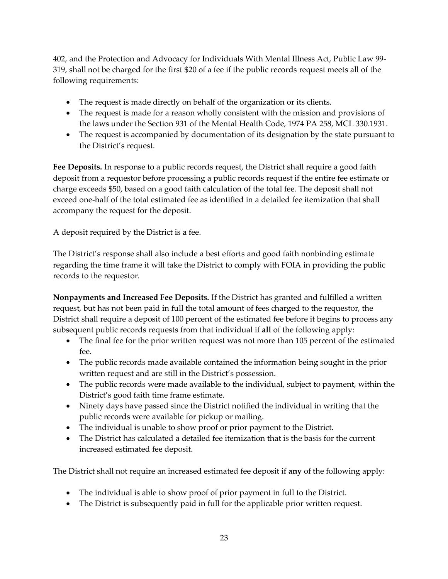402, and the Protection and Advocacy for Individuals With Mental Illness Act, Public Law 99- 319, shall not be charged for the first \$20 of a fee if the public records request meets all of the following requirements:

- The request is made directly on behalf of the organization or its clients.
- The request is made for a reason wholly consistent with the mission and provisions of the laws under the Section 931 of the Mental Health Code, 1974 PA 258, MCL 330.1931.
- The request is accompanied by documentation of its designation by the state pursuant to the District's request.

**Fee Deposits.** In response to a public records request, the District shall require a good faith deposit from a requestor before processing a public records request if the entire fee estimate or charge exceeds \$50, based on a good faith calculation of the total fee. The deposit shall not exceed one-half of the total estimated fee as identified in a detailed fee itemization that shall accompany the request for the deposit.

A deposit required by the District is a fee.

The District's response shall also include a best efforts and good faith nonbinding estimate regarding the time frame it will take the District to comply with FOIA in providing the public records to the requestor.

**Nonpayments and Increased Fee Deposits.** If the District has granted and fulfilled a written request, but has not been paid in full the total amount of fees charged to the requestor, the District shall require a deposit of 100 percent of the estimated fee before it begins to process any subsequent public records requests from that individual if **all** of the following apply:

- The final fee for the prior written request was not more than 105 percent of the estimated fee.
- The public records made available contained the information being sought in the prior written request and are still in the District's possession.
- The public records were made available to the individual, subject to payment, within the District's good faith time frame estimate.
- Ninety days have passed since the District notified the individual in writing that the public records were available for pickup or mailing.
- The individual is unable to show proof or prior payment to the District.
- The District has calculated a detailed fee itemization that is the basis for the current increased estimated fee deposit.

The District shall not require an increased estimated fee deposit if **any** of the following apply:

- The individual is able to show proof of prior payment in full to the District.
- The District is subsequently paid in full for the applicable prior written request.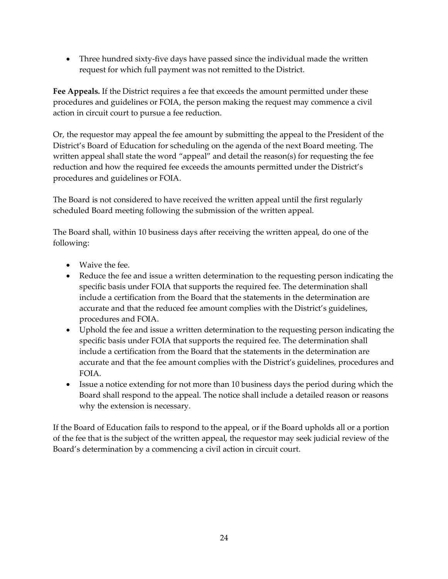• Three hundred sixty-five days have passed since the individual made the written request for which full payment was not remitted to the District.

**Fee Appeals.** If the District requires a fee that exceeds the amount permitted under these procedures and guidelines or FOIA, the person making the request may commence a civil action in circuit court to pursue a fee reduction.

Or, the requestor may appeal the fee amount by submitting the appeal to the President of the District's Board of Education for scheduling on the agenda of the next Board meeting. The written appeal shall state the word "appeal" and detail the reason(s) for requesting the fee reduction and how the required fee exceeds the amounts permitted under the District's procedures and guidelines or FOIA.

The Board is not considered to have received the written appeal until the first regularly scheduled Board meeting following the submission of the written appeal.

The Board shall, within 10 business days after receiving the written appeal, do one of the following:

- Waive the fee.
- Reduce the fee and issue a written determination to the requesting person indicating the specific basis under FOIA that supports the required fee. The determination shall include a certification from the Board that the statements in the determination are accurate and that the reduced fee amount complies with the District's guidelines, procedures and FOIA.
- Uphold the fee and issue a written determination to the requesting person indicating the specific basis under FOIA that supports the required fee. The determination shall include a certification from the Board that the statements in the determination are accurate and that the fee amount complies with the District's guidelines, procedures and FOIA.
- Issue a notice extending for not more than 10 business days the period during which the Board shall respond to the appeal. The notice shall include a detailed reason or reasons why the extension is necessary.

If the Board of Education fails to respond to the appeal, or if the Board upholds all or a portion of the fee that is the subject of the written appeal, the requestor may seek judicial review of the Board's determination by a commencing a civil action in circuit court.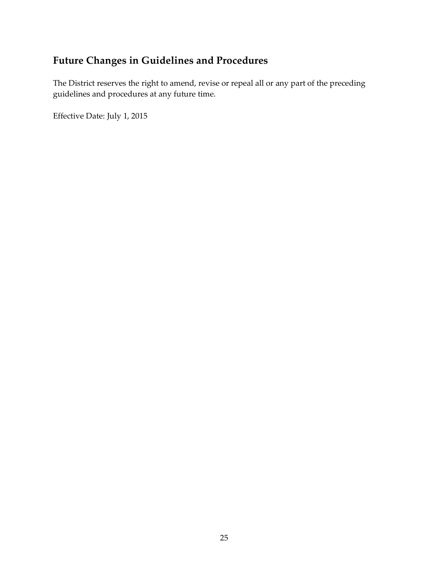## **Future Changes in Guidelines and Procedures**

The District reserves the right to amend, revise or repeal all or any part of the preceding guidelines and procedures at any future time.

Effective Date: July 1, 2015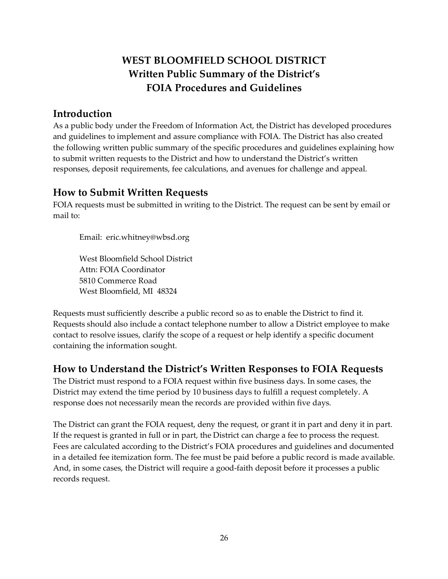## **WEST BLOOMFIELD SCHOOL DISTRICT Written Public Summary of the District's FOIA Procedures and Guidelines**

#### **Introduction**

As a public body under the Freedom of Information Act, the District has developed procedures and guidelines to implement and assure compliance with FOIA. The District has also created the following written public summary of the specific procedures and guidelines explaining how to submit written requests to the District and how to understand the District's written responses, deposit requirements, fee calculations, and avenues for challenge and appeal.

#### **How to Submit Written Requests**

FOIA requests must be submitted in writing to the District. The request can be sent by email or mail to:

Email: eric.whitney@wbsd.org

West Bloomfield School District Attn: FOIA Coordinator 5810 Commerce Road West Bloomfield, MI 48324

Requests must sufficiently describe a public record so as to enable the District to find it. Requests should also include a contact telephone number to allow a District employee to make contact to resolve issues, clarify the scope of a request or help identify a specific document containing the information sought.

#### **How to Understand the District's Written Responses to FOIA Requests**

The District must respond to a FOIA request within five business days. In some cases, the District may extend the time period by 10 business days to fulfill a request completely. A response does not necessarily mean the records are provided within five days.

The District can grant the FOIA request, deny the request, or grant it in part and deny it in part. If the request is granted in full or in part, the District can charge a fee to process the request. Fees are calculated according to the District's FOIA procedures and guidelines and documented in a detailed fee itemization form. The fee must be paid before a public record is made available. And, in some cases, the District will require a good-faith deposit before it processes a public records request.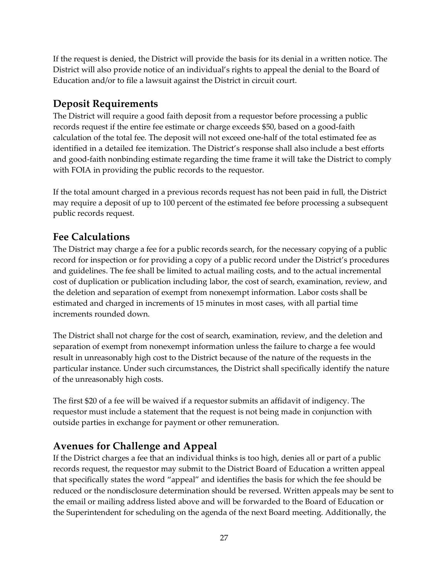If the request is denied, the District will provide the basis for its denial in a written notice. The District will also provide notice of an individual's rights to appeal the denial to the Board of Education and/or to file a lawsuit against the District in circuit court.

#### **Deposit Requirements**

The District will require a good faith deposit from a requestor before processing a public records request if the entire fee estimate or charge exceeds \$50, based on a good-faith calculation of the total fee. The deposit will not exceed one-half of the total estimated fee as identified in a detailed fee itemization. The District's response shall also include a best efforts and good-faith nonbinding estimate regarding the time frame it will take the District to comply with FOIA in providing the public records to the requestor.

If the total amount charged in a previous records request has not been paid in full, the District may require a deposit of up to 100 percent of the estimated fee before processing a subsequent public records request.

#### **Fee Calculations**

The District may charge a fee for a public records search, for the necessary copying of a public record for inspection or for providing a copy of a public record under the District's procedures and guidelines. The fee shall be limited to actual mailing costs, and to the actual incremental cost of duplication or publication including labor, the cost of search, examination, review, and the deletion and separation of exempt from nonexempt information. Labor costs shall be estimated and charged in increments of 15 minutes in most cases, with all partial time increments rounded down.

The District shall not charge for the cost of search, examination, review, and the deletion and separation of exempt from nonexempt information unless the failure to charge a fee would result in unreasonably high cost to the District because of the nature of the requests in the particular instance. Under such circumstances, the District shall specifically identify the nature of the unreasonably high costs.

The first \$20 of a fee will be waived if a requestor submits an affidavit of indigency. The requestor must include a statement that the request is not being made in conjunction with outside parties in exchange for payment or other remuneration.

#### **Avenues for Challenge and Appeal**

If the District charges a fee that an individual thinks is too high, denies all or part of a public records request, the requestor may submit to the District Board of Education a written appeal that specifically states the word "appeal" and identifies the basis for which the fee should be reduced or the nondisclosure determination should be reversed. Written appeals may be sent to the email or mailing address listed above and will be forwarded to the Board of Education or the Superintendent for scheduling on the agenda of the next Board meeting. Additionally, the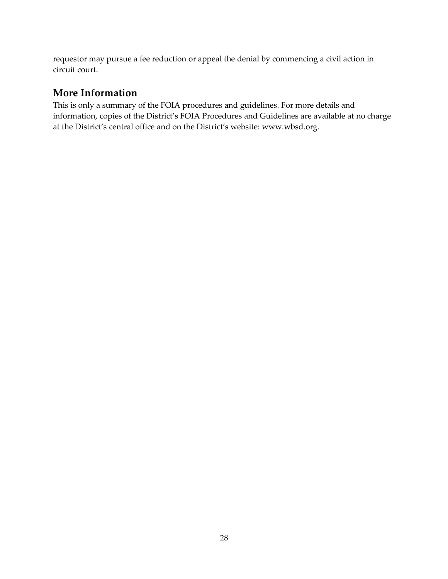requestor may pursue a fee reduction or appeal the denial by commencing a civil action in circuit court.

#### **More Information**

This is only a summary of the FOIA procedures and guidelines. For more details and information, copies of the District's FOIA Procedures and Guidelines are available at no charge at the District's central office and on the District's website: www.wbsd.org.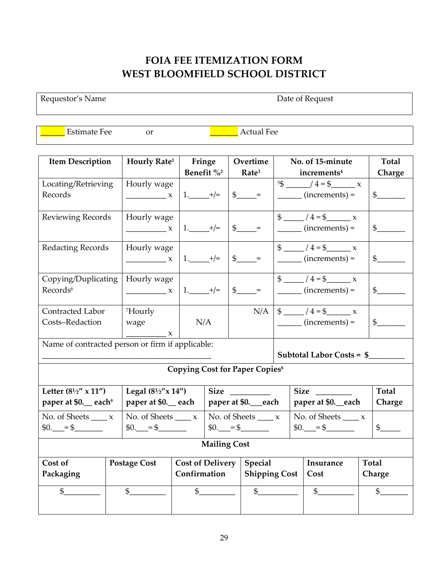### **FOIA FEE ITEMIZATION FORM WEST BLOOMFIELD SCHOOL DISTRICT**

Requestor's Name Date of Request

Estimate Fee or **Quarter External Fee** 

| <b>Item Description</b>                          | Hourly Rate <sup>1</sup>                         | Fringe                 |                                           | Overtime                                            | No. of 15-minute               |                                                  |                    | Total            |  |
|--------------------------------------------------|--------------------------------------------------|------------------------|-------------------------------------------|-----------------------------------------------------|--------------------------------|--------------------------------------------------|--------------------|------------------|--|
|                                                  |                                                  | Benefit % <sup>2</sup> |                                           | Rate <sup>3</sup>                                   |                                | increments <sup>4</sup>                          |                    | Charge           |  |
| Locating/Retrieving                              | Hourly wage                                      |                        |                                           |                                                     |                                | $5\frac{3}{2}$ $4 = \frac{3}{2}$ x               |                    |                  |  |
| Records                                          | $\frac{1}{1}$                                    | $1.$ $+/-$             |                                           | $\frac{1}{2}$ =                                     |                                | $\frac{\ }{\ }$ (increments) =                   |                    | $\frac{1}{2}$    |  |
|                                                  |                                                  |                        |                                           |                                                     |                                |                                                  |                    |                  |  |
| Reviewing Records                                | Hourly wage                                      |                        |                                           |                                                     |                                | $\frac{1}{2}$ /4 = \$                            |                    |                  |  |
|                                                  | $\frac{1}{\sqrt{1-\frac{1}{2}}}\times$           | $1.$ $+/-$             |                                           |                                                     |                                | $\frac{1}{\sqrt{1-\frac{1}{2}}}\$ (increments) = |                    | $\mathfrak s$    |  |
|                                                  |                                                  |                        |                                           |                                                     |                                |                                                  |                    |                  |  |
| <b>Redacting Records</b>                         | Hourly wage                                      |                        |                                           |                                                     |                                | $\frac{1}{2}$ /4=\$ x                            |                    |                  |  |
|                                                  | $\frac{1}{1}$                                    | $1.$ $+/-$             |                                           | $\frac{1}{2}$ =                                     |                                | $\frac{1}{\sqrt{1-\frac{1}{2}}}\$ (increments) = |                    | $\frac{1}{2}$    |  |
|                                                  |                                                  |                        |                                           |                                                     |                                |                                                  |                    |                  |  |
| Copying/Duplicating                              | Hourly wage                                      |                        |                                           |                                                     |                                |                                                  |                    |                  |  |
| Records <sup>6</sup>                             | $\frac{1}{1}$ X                                  | $1.$ $+/-$             |                                           | $\mathfrak{S}$<br>$\hspace{1.6cm} = \hspace{1.6cm}$ |                                | $\frac{\ }{\ }$ (increments) =                   |                    | $\frac{1}{2}$    |  |
|                                                  |                                                  |                        |                                           |                                                     |                                |                                                  |                    |                  |  |
| Contracted Labor                                 | <sup>7</sup> Hourly                              |                        |                                           |                                                     |                                | $N/A$   \$ _____ / 4 = \$ _____ x                |                    |                  |  |
| Costs-Redaction                                  | wage                                             | N/A                    |                                           |                                                     | $\frac{\ }{\ }$ (increments) = |                                                  |                    | $\frac{1}{2}$    |  |
|                                                  | $\mathbf{x}$                                     |                        |                                           |                                                     |                                |                                                  |                    |                  |  |
|                                                  | Name of contracted person or firm if applicable: |                        |                                           |                                                     |                                |                                                  |                    |                  |  |
|                                                  |                                                  |                        |                                           |                                                     | Subtotal Labor Costs = \$      |                                                  |                    |                  |  |
| <b>Copying Cost for Paper Copies<sup>8</sup></b> |                                                  |                        |                                           |                                                     |                                |                                                  |                    |                  |  |
|                                                  |                                                  |                        |                                           |                                                     |                                |                                                  |                    |                  |  |
| Letter $(8\frac{1}{2}$ " x 11")                  | Legal $(8\frac{1}{2}x$ $14'')$<br>Size           |                        |                                           |                                                     | <b>Size</b>                    |                                                  |                    | <b>Total</b>     |  |
| paper at \$0. each <sup>9</sup>                  | paper at \$0. each                               |                        |                                           | paper at \$0._each                                  | paper at \$0. each             |                                                  |                    | Charge           |  |
| No. of Sheets $\_\_\_x$                          | No. of Sheets $\_\_\_x$                          |                        | No. of Sheets $\_\_\_x$                   |                                                     |                                | No. of Sheets $\frac{1}{1-x}$ x                  |                    |                  |  |
| $$0.$ = \$                                       | $$0.$ = \$                                       |                        |                                           | $$0.$ = \$                                          |                                | $$0.$ = \$                                       |                    | $\mathfrak{S}$   |  |
|                                                  |                                                  |                        |                                           |                                                     |                                |                                                  |                    |                  |  |
| <b>Mailing Cost</b>                              |                                                  |                        |                                           |                                                     |                                |                                                  |                    |                  |  |
| Cost of<br><b>Postage Cost</b>                   |                                                  |                        | <b>Cost of Delivery</b><br><b>Special</b> |                                                     |                                |                                                  | Insurance<br>Total |                  |  |
| Packaging                                        |                                                  | Confirmation           |                                           | <b>Shipping Cost</b>                                |                                | Cost                                             |                    | Charge           |  |
|                                                  |                                                  |                        |                                           |                                                     |                                |                                                  |                    |                  |  |
| \$                                               | $\frac{1}{2}$                                    |                        | $\frac{1}{2}$                             | $\mathfrak s$                                       |                                | $\frac{1}{2}$                                    |                    | $\mathfrak{S}^-$ |  |
|                                                  |                                                  |                        |                                           |                                                     |                                |                                                  |                    |                  |  |
|                                                  |                                                  |                        |                                           |                                                     |                                |                                                  |                    |                  |  |